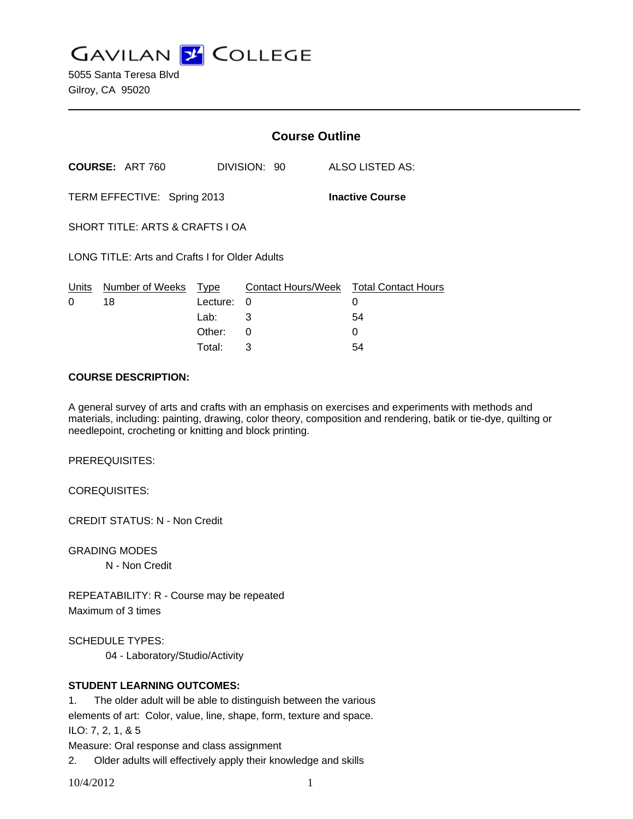**GAVILAN Z COLLEGE** 

5055 Santa Teresa Blvd Gilroy, CA 95020

|                                                |                        | <b>Course Outline</b> |              |  |                                        |  |
|------------------------------------------------|------------------------|-----------------------|--------------|--|----------------------------------------|--|
|                                                | <b>COURSE: ART 760</b> |                       | DIVISION: 90 |  | ALSO LISTED AS:                        |  |
| TERM EFFECTIVE: Spring 2013                    |                        |                       |              |  | <b>Inactive Course</b>                 |  |
| SHORT TITLE: ARTS & CRAFTS LOA                 |                        |                       |              |  |                                        |  |
| LONG TITLE: Arts and Crafts I for Older Adults |                        |                       |              |  |                                        |  |
| Units                                          | Number of Weeks        | Type                  |              |  | Contact Hours/Week Total Contact Hours |  |
| 0                                              | 18                     | Lecture:              | $\Omega$     |  | 0                                      |  |
|                                                |                        | Lab: __               | 3            |  | 54                                     |  |
|                                                |                        | Other:                | 0            |  | 0                                      |  |

#### **COURSE DESCRIPTION:**

A general survey of arts and crafts with an emphasis on exercises and experiments with methods and materials, including: painting, drawing, color theory, composition and rendering, batik or tie-dye, quilting or needlepoint, crocheting or knitting and block printing.

Total: 3 54

PREREQUISITES:

COREQUISITES:

CREDIT STATUS: N - Non Credit

GRADING MODES

N - Non Credit

REPEATABILITY: R - Course may be repeated Maximum of 3 times

SCHEDULE TYPES:

04 - Laboratory/Studio/Activity

### **STUDENT LEARNING OUTCOMES:**

1. The older adult will be able to distinguish between the various

elements of art: Color, value, line, shape, form, texture and space.

ILO: 7, 2, 1, & 5

Measure: Oral response and class assignment

2. Older adults will effectively apply their knowledge and skills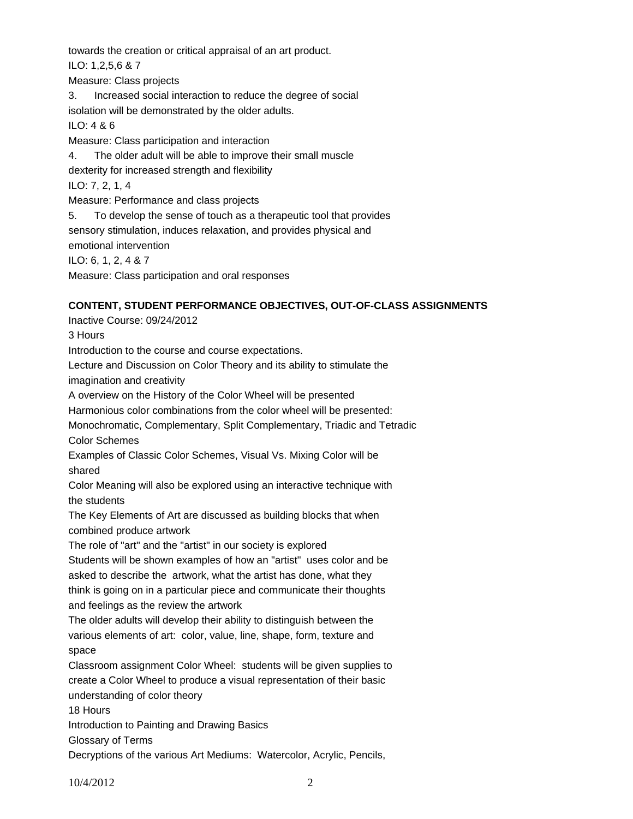towards the creation or critical appraisal of an art product.

ILO: 1,2,5,6 & 7

Measure: Class projects

3. Increased social interaction to reduce the degree of social isolation will be demonstrated by the older adults.

ILO: 4 & 6

Measure: Class participation and interaction

4. The older adult will be able to improve their small muscle

dexterity for increased strength and flexibility

ILO: 7, 2, 1, 4

Measure: Performance and class projects

5. To develop the sense of touch as a therapeutic tool that provides sensory stimulation, induces relaxation, and provides physical and emotional intervention

ILO: 6, 1, 2, 4 & 7

Measure: Class participation and oral responses

# **CONTENT, STUDENT PERFORMANCE OBJECTIVES, OUT-OF-CLASS ASSIGNMENTS**

Inactive Course: 09/24/2012 3 Hours Introduction to the course and course expectations. Lecture and Discussion on Color Theory and its ability to stimulate the imagination and creativity A overview on the History of the Color Wheel will be presented Harmonious color combinations from the color wheel will be presented: Monochromatic, Complementary, Split Complementary, Triadic and Tetradic Color Schemes Examples of Classic Color Schemes, Visual Vs. Mixing Color will be shared Color Meaning will also be explored using an interactive technique with the students The Key Elements of Art are discussed as building blocks that when combined produce artwork The role of "art" and the "artist" in our society is explored Students will be shown examples of how an "artist" uses color and be asked to describe the artwork, what the artist has done, what they think is going on in a particular piece and communicate their thoughts and feelings as the review the artwork The older adults will develop their ability to distinguish between the various elements of art: color, value, line, shape, form, texture and space Classroom assignment Color Wheel: students will be given supplies to create a Color Wheel to produce a visual representation of their basic understanding of color theory 18 Hours Introduction to Painting and Drawing Basics Glossary of Terms

Decryptions of the various Art Mediums: Watercolor, Acrylic, Pencils,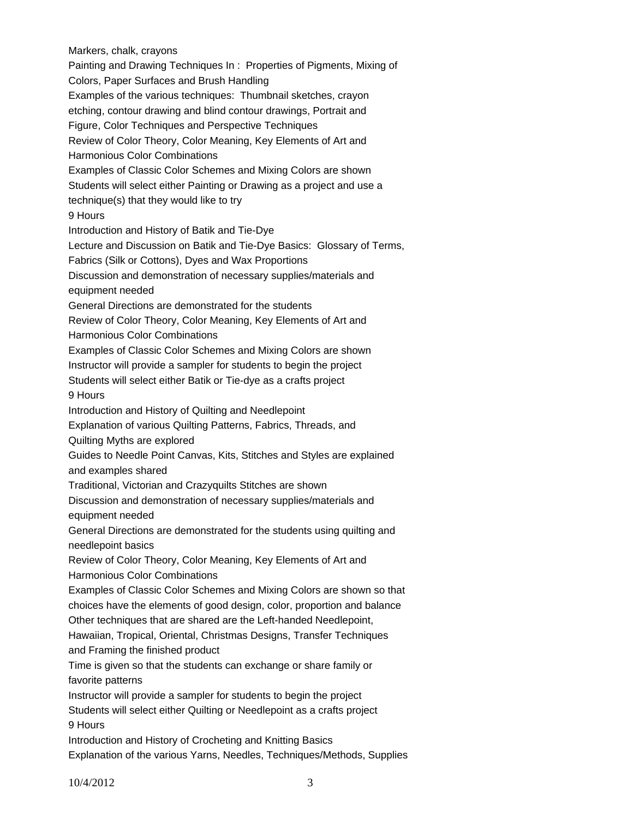Markers, chalk, crayons Painting and Drawing Techniques In : Properties of Pigments, Mixing of Colors, Paper Surfaces and Brush Handling Examples of the various techniques: Thumbnail sketches, crayon etching, contour drawing and blind contour drawings, Portrait and Figure, Color Techniques and Perspective Techniques Review of Color Theory, Color Meaning, Key Elements of Art and Harmonious Color Combinations Examples of Classic Color Schemes and Mixing Colors are shown Students will select either Painting or Drawing as a project and use a technique(s) that they would like to try 9 Hours Introduction and History of Batik and Tie-Dye Lecture and Discussion on Batik and Tie-Dye Basics: Glossary of Terms, Fabrics (Silk or Cottons), Dyes and Wax Proportions Discussion and demonstration of necessary supplies/materials and equipment needed General Directions are demonstrated for the students Review of Color Theory, Color Meaning, Key Elements of Art and Harmonious Color Combinations Examples of Classic Color Schemes and Mixing Colors are shown Instructor will provide a sampler for students to begin the project Students will select either Batik or Tie-dye as a crafts project 9 Hours Introduction and History of Quilting and Needlepoint Explanation of various Quilting Patterns, Fabrics, Threads, and Quilting Myths are explored Guides to Needle Point Canvas, Kits, Stitches and Styles are explained and examples shared Traditional, Victorian and Crazyquilts Stitches are shown Discussion and demonstration of necessary supplies/materials and equipment needed General Directions are demonstrated for the students using quilting and needlepoint basics Review of Color Theory, Color Meaning, Key Elements of Art and Harmonious Color Combinations Examples of Classic Color Schemes and Mixing Colors are shown so that choices have the elements of good design, color, proportion and balance Other techniques that are shared are the Left-handed Needlepoint, Hawaiian, Tropical, Oriental, Christmas Designs, Transfer Techniques and Framing the finished product Time is given so that the students can exchange or share family or favorite patterns Instructor will provide a sampler for students to begin the project Students will select either Quilting or Needlepoint as a crafts project 9 Hours Introduction and History of Crocheting and Knitting Basics Explanation of the various Yarns, Needles, Techniques/Methods, Supplies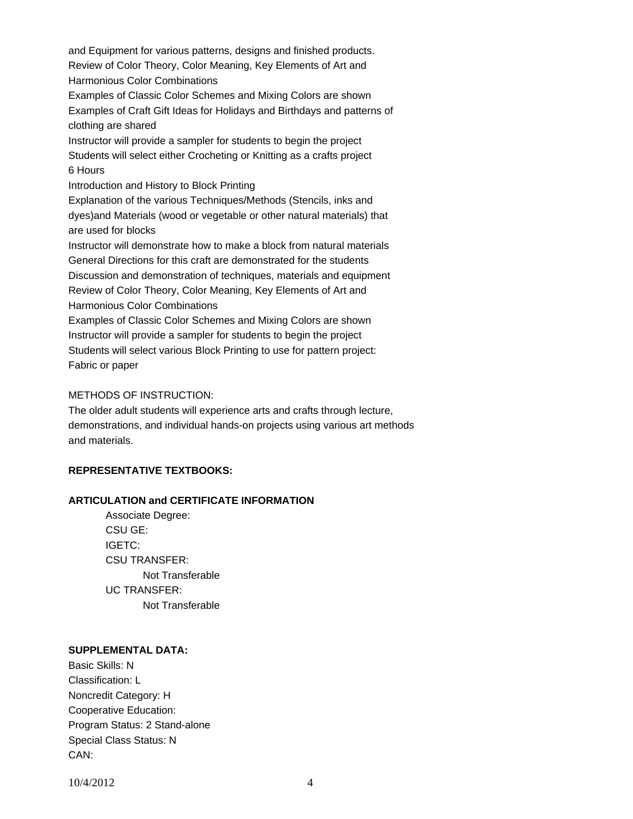and Equipment for various patterns, designs and finished products. Review of Color Theory, Color Meaning, Key Elements of Art and Harmonious Color Combinations

Examples of Classic Color Schemes and Mixing Colors are shown Examples of Craft Gift Ideas for Holidays and Birthdays and patterns of clothing are shared

Instructor will provide a sampler for students to begin the project Students will select either Crocheting or Knitting as a crafts project 6 Hours

Introduction and History to Block Printing

Explanation of the various Techniques/Methods (Stencils, inks and dyes)and Materials (wood or vegetable or other natural materials) that are used for blocks

Instructor will demonstrate how to make a block from natural materials General Directions for this craft are demonstrated for the students Discussion and demonstration of techniques, materials and equipment Review of Color Theory, Color Meaning, Key Elements of Art and Harmonious Color Combinations

Examples of Classic Color Schemes and Mixing Colors are shown Instructor will provide a sampler for students to begin the project Students will select various Block Printing to use for pattern project: Fabric or paper

## METHODS OF INSTRUCTION:

The older adult students will experience arts and crafts through lecture, demonstrations, and individual hands-on projects using various art methods and materials.

# **REPRESENTATIVE TEXTBOOKS:**

### **ARTICULATION and CERTIFICATE INFORMATION**

 Not Transferable UC TRANSFER: Not Transferable Associate Degree: CSU GE: IGETC: CSU TRANSFER:

### **SUPPLEMENTAL DATA:**

Basic Skills: N Classification: L Noncredit Category: H Cooperative Education: Program Status: 2 Stand-alone Special Class Status: N CAN: